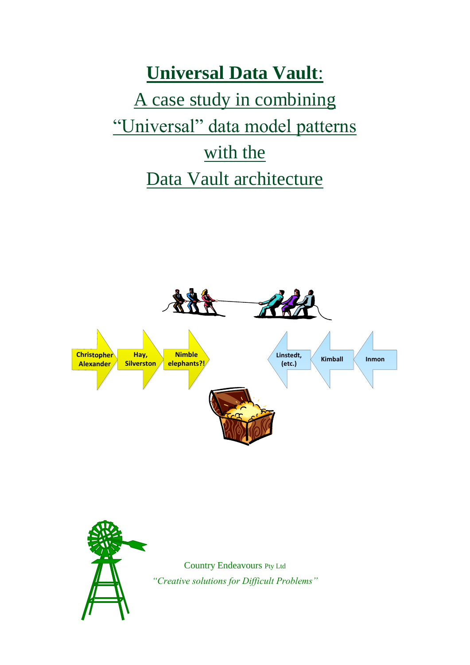# **Universal Data Vault**: A case study in combining "Universal" data model patterns with the Data Vault architecture





Country Endeavours Pty Ltd *"Creative solutions for Difficult Problems"*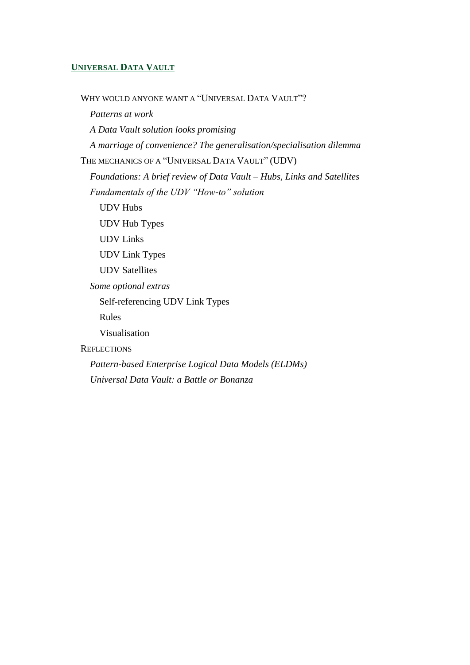#### **UNIVERSAL DATA VAULT**

W[HY WOULD ANYONE WANT](#page-3-0) A "UNIVERSAL DATA VAULT"? *[Patterns at work](#page-3-1) [A Data Vault solution looks promising](#page-4-0) [A marriage of convenience? The generalisation/specialisation dilemma](#page-5-0)* T[HE MECHANICS OF A](#page-7-0) "UNIVERSAL DATA VAULT" (UDV) *[Foundations: A brief review of Data Vault –](#page-7-1) Hubs, Links and Satellites [Fundamentals of the UDV "How-to" solution](#page-9-0)* [UDV Hubs](#page-10-0) [UDV Hub Types](#page-11-0) [UDV Links](#page-11-1) [UDV Link Types](#page-12-0) [UDV Satellites](#page-12-1) *[Some optional extras](#page-12-2)* [Self-referencing UDV Link Types](#page-13-0) [Rules](#page-13-1) [Visualisation](#page-14-0) **R[EFLECTIONS](#page-14-1)** *[Pattern-based Enterprise Logical Data Models \(ELDMs\)](#page-14-2)*

*[Universal Data Vault: a Battle or Bonanza](#page-15-0)*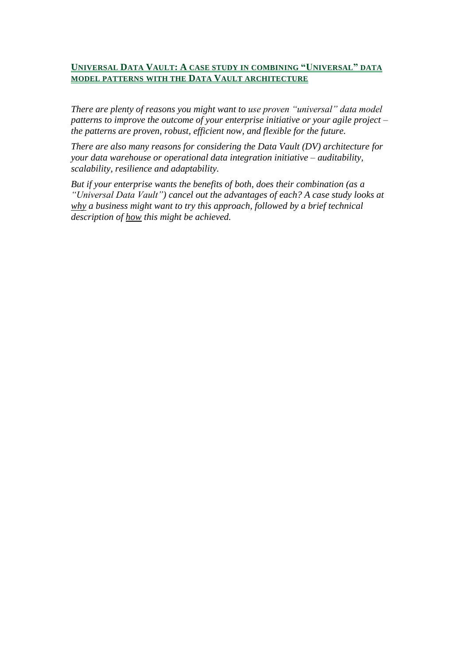#### **UNIVERSAL DATA VAULT: A CASE STUDY IN COMBINING "UNIVERSAL" DATA MODEL PATTERNS WITH THE DATA VAULT ARCHITECTURE**

*There are plenty of reasons you might want to use proven "universal" data model patterns to improve the outcome of your enterprise initiative or your agile project – the patterns are proven, robust, efficient now, and flexible for the future.* 

*There are also many reasons for considering the Data Vault (DV) architecture for your data warehouse or operational data integration initiative – auditability, scalability, resilience and adaptability.* 

*But if your enterprise wants the benefits of both, does their combination (as a "Universal Data Vault") cancel out the advantages of each? A case study looks at why a business might want to try this approach, followed by a brief technical description of how this might be achieved.*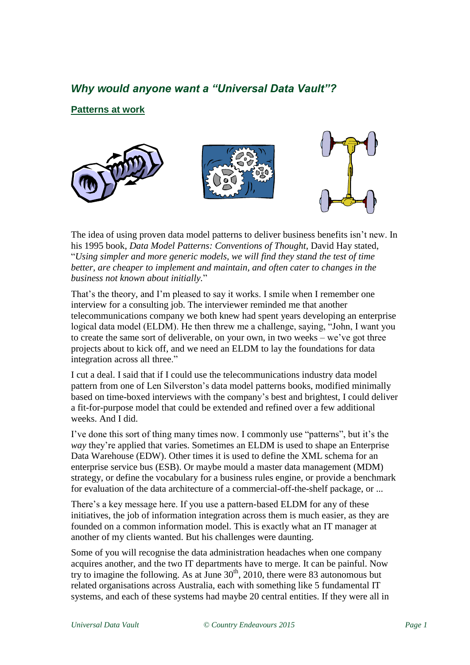# <span id="page-3-0"></span>*Why would anyone want a "Universal Data Vault"?*

<span id="page-3-1"></span>**Patterns at work**



The idea of using proven data model patterns to deliver business benefits isn't new. In his 1995 book, *Data Model Patterns: Conventions of Thought*, David Hay stated, "*Using simpler and more generic models, we will find they stand the test of time better, are cheaper to implement and maintain, and often cater to changes in the business not known about initially.*"

That's the theory, and I'm pleased to say it works. I smile when I remember one interview for a consulting job. The interviewer reminded me that another telecommunications company we both knew had spent years developing an enterprise logical data model (ELDM). He then threw me a challenge, saying, "John, I want you to create the same sort of deliverable, on your own, in two weeks – we've got three projects about to kick off, and we need an ELDM to lay the foundations for data integration across all three."

I cut a deal. I said that if I could use the telecommunications industry data model pattern from one of Len Silverston's data model patterns books, modified minimally based on time-boxed interviews with the company's best and brightest, I could deliver a fit-for-purpose model that could be extended and refined over a few additional weeks. And I did.

I've done this sort of thing many times now. I commonly use "patterns", but it's the *way* they're applied that varies. Sometimes an ELDM is used to shape an Enterprise Data Warehouse (EDW). Other times it is used to define the XML schema for an enterprise service bus (ESB). Or maybe mould a master data management (MDM) strategy, or define the vocabulary for a business rules engine, or provide a benchmark for evaluation of the data architecture of a commercial-off-the-shelf package, or ...

There's a key message here. If you use a pattern-based ELDM for any of these initiatives, the job of information integration across them is much easier, as they are founded on a common information model. This is exactly what an IT manager at another of my clients wanted. But his challenges were daunting.

Some of you will recognise the data administration headaches when one company acquires another, and the two IT departments have to merge. It can be painful. Now try to imagine the following. As at June  $30<sup>th</sup>$ , 2010, there were 83 autonomous but related organisations across Australia, each with something like 5 fundamental IT systems, and each of these systems had maybe 20 central entities. If they were all in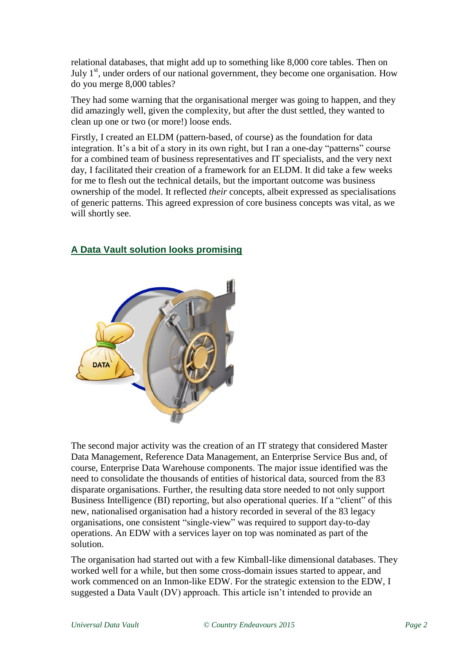relational databases, that might add up to something like 8,000 core tables. Then on July  $1<sup>st</sup>$ , under orders of our national government, they become one organisation. How do you merge 8,000 tables?

They had some warning that the organisational merger was going to happen, and they did amazingly well, given the complexity, but after the dust settled, they wanted to clean up one or two (or more!) loose ends.

Firstly, I created an ELDM (pattern-based, of course) as the foundation for data integration. It's a bit of a story in its own right, but I ran a one-day "patterns" course for a combined team of business representatives and IT specialists, and the very next day, I facilitated their creation of a framework for an ELDM. It did take a few weeks for me to flesh out the technical details, but the important outcome was business ownership of the model. It reflected *their* concepts, albeit expressed as specialisations of generic patterns. This agreed expression of core business concepts was vital, as we will shortly see.



# <span id="page-4-0"></span>**A Data Vault solution looks promising**

The second major activity was the creation of an IT strategy that considered Master Data Management, Reference Data Management, an Enterprise Service Bus and, of course, Enterprise Data Warehouse components. The major issue identified was the need to consolidate the thousands of entities of historical data, sourced from the 83 disparate organisations. Further, the resulting data store needed to not only support Business Intelligence (BI) reporting, but also operational queries. If a "client" of this new, nationalised organisation had a history recorded in several of the 83 legacy organisations, one consistent "single-view" was required to support day-to-day operations. An EDW with a services layer on top was nominated as part of the solution.

The organisation had started out with a few Kimball-like dimensional databases. They worked well for a while, but then some cross-domain issues started to appear, and work commenced on an Inmon-like EDW. For the strategic extension to the EDW, I suggested a Data Vault (DV) approach. This article isn't intended to provide an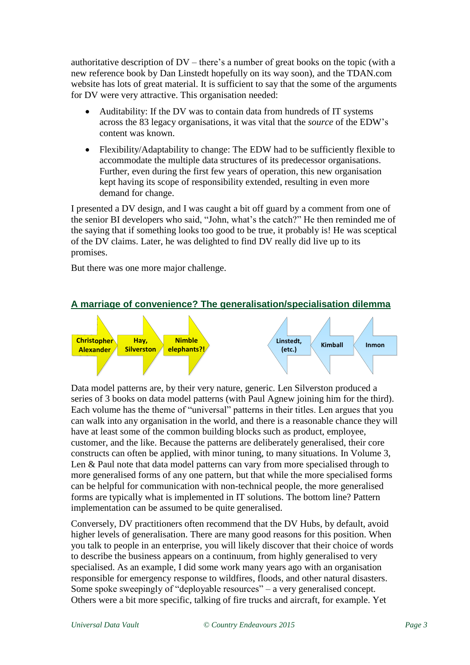authoritative description of DV – there's a number of great books on the topic (with a new reference book by Dan Linstedt hopefully on its way soon), and the TDAN.com website has lots of great material. It is sufficient to say that the some of the arguments for DV were very attractive. This organisation needed:

- Auditability: If the DV was to contain data from hundreds of IT systems across the 83 legacy organisations, it was vital that the *source* of the EDW's content was known.
- Flexibility/Adaptability to change: The EDW had to be sufficiently flexible to accommodate the multiple data structures of its predecessor organisations. Further, even during the first few years of operation, this new organisation kept having its scope of responsibility extended, resulting in even more demand for change.

I presented a DV design, and I was caught a bit off guard by a comment from one of the senior BI developers who said, "John, what's the catch?" He then reminded me of the saying that if something looks too good to be true, it probably is! He was sceptical of the DV claims. Later, he was delighted to find DV really did live up to its promises.

But there was one more major challenge.

<span id="page-5-0"></span>



Data model patterns are, by their very nature, generic. Len Silverston produced a series of 3 books on data model patterns (with Paul Agnew joining him for the third). Each volume has the theme of "universal" patterns in their titles. Len argues that you can walk into any organisation in the world, and there is a reasonable chance they will have at least some of the common building blocks such as product, employee, customer, and the like. Because the patterns are deliberately generalised, their core constructs can often be applied, with minor tuning, to many situations. In Volume 3, Len & Paul note that data model patterns can vary from more specialised through to more generalised forms of any one pattern, but that while the more specialised forms can be helpful for communication with non-technical people, the more generalised forms are typically what is implemented in IT solutions. The bottom line? Pattern implementation can be assumed to be quite generalised.

Conversely, DV practitioners often recommend that the DV Hubs, by default, avoid higher levels of generalisation. There are many good reasons for this position. When you talk to people in an enterprise, you will likely discover that their choice of words to describe the business appears on a continuum, from highly generalised to very specialised. As an example, I did some work many years ago with an organisation responsible for emergency response to wildfires, floods, and other natural disasters. Some spoke sweepingly of "deployable resources" – a very generalised concept. Others were a bit more specific, talking of fire trucks and aircraft, for example. Yet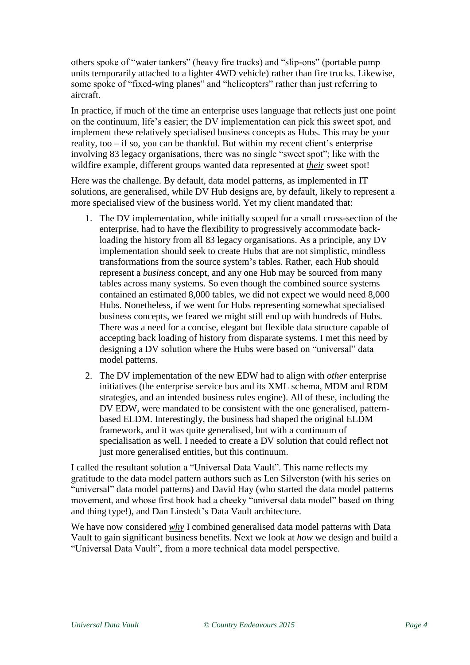others spoke of "water tankers" (heavy fire trucks) and "slip-ons" (portable pump units temporarily attached to a lighter 4WD vehicle) rather than fire trucks. Likewise, some spoke of "fixed-wing planes" and "helicopters" rather than just referring to aircraft.

In practice, if much of the time an enterprise uses language that reflects just one point on the continuum, life's easier; the DV implementation can pick this sweet spot, and implement these relatively specialised business concepts as Hubs. This may be your reality, too – if so, you can be thankful. But within my recent client's enterprise involving 83 legacy organisations, there was no single "sweet spot"; like with the wildfire example, different groups wanted data represented at *their* sweet spot!

Here was the challenge. By default, data model patterns, as implemented in IT solutions, are generalised, while DV Hub designs are, by default, likely to represent a more specialised view of the business world. Yet my client mandated that:

- 1. The DV implementation, while initially scoped for a small cross-section of the enterprise, had to have the flexibility to progressively accommodate backloading the history from all 83 legacy organisations. As a principle, any DV implementation should seek to create Hubs that are not simplistic, mindless transformations from the source system's tables. Rather, each Hub should represent a *business* concept, and any one Hub may be sourced from many tables across many systems. So even though the combined source systems contained an estimated 8,000 tables, we did not expect we would need 8,000 Hubs. Nonetheless, if we went for Hubs representing somewhat specialised business concepts, we feared we might still end up with hundreds of Hubs. There was a need for a concise, elegant but flexible data structure capable of accepting back loading of history from disparate systems. I met this need by designing a DV solution where the Hubs were based on "universal" data model patterns.
- 2. The DV implementation of the new EDW had to align with *other* enterprise initiatives (the enterprise service bus and its XML schema, MDM and RDM strategies, and an intended business rules engine). All of these, including the DV EDW, were mandated to be consistent with the one generalised, patternbased ELDM. Interestingly, the business had shaped the original ELDM framework, and it was quite generalised, but with a continuum of specialisation as well. I needed to create a DV solution that could reflect not just more generalised entities, but this continuum.

I called the resultant solution a "Universal Data Vault". This name reflects my gratitude to the data model pattern authors such as Len Silverston (with his series on "universal" data model patterns) and David Hay (who started the data model patterns movement, and whose first book had a cheeky "universal data model" based on thing and thing type!), and Dan Linstedt's Data Vault architecture.

We have now considered *why* I combined generalised data model patterns with Data Vault to gain significant business benefits. Next we look at *how* we design and build a "Universal Data Vault", from a more technical data model perspective.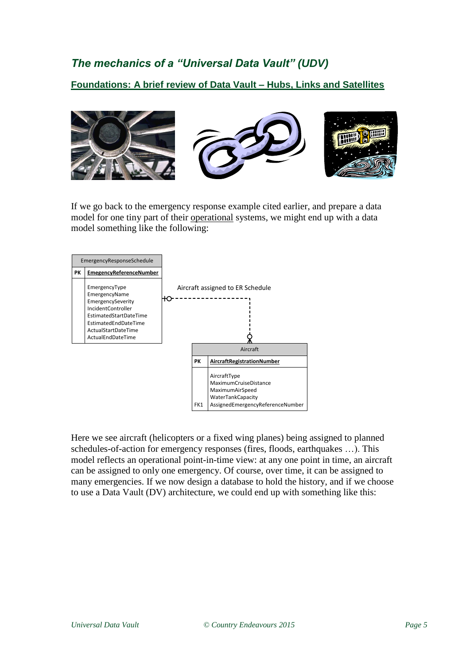# <span id="page-7-0"></span>*The mechanics of a "Universal Data Vault" (UDV)*

<span id="page-7-1"></span>**Foundations: A brief review of Data Vault – Hubs, Links and Satellites**



If we go back to the emergency response example cited earlier, and prepare a data model for one tiny part of their operational systems, we might end up with a data model something like the following:



Here we see aircraft (helicopters or a fixed wing planes) being assigned to planned schedules-of-action for emergency responses (fires, floods, earthquakes …). This model reflects an operational point-in-time view: at any one point in time, an aircraft can be assigned to only one emergency. Of course, over time, it can be assigned to many emergencies. If we now design a database to hold the history, and if we choose to use a Data Vault (DV) architecture, we could end up with something like this: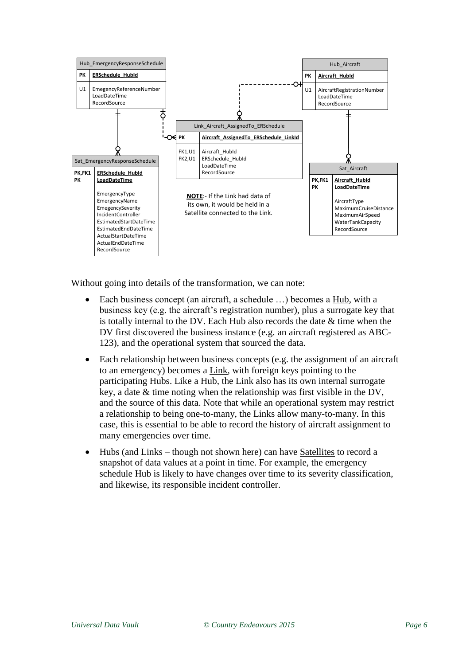

Without going into details of the transformation, we can note:

- Each business concept (an aircraft, a schedule …) becomes a Hub, with a business key (e.g. the aircraft's registration number), plus a surrogate key that is totally internal to the DV. Each Hub also records the date & time when the DV first discovered the business instance (e.g. an aircraft registered as ABC-123), and the operational system that sourced the data.
- Each relationship between business concepts (e.g. the assignment of an aircraft to an emergency) becomes a Link, with foreign keys pointing to the participating Hubs. Like a Hub, the Link also has its own internal surrogate key, a date & time noting when the relationship was first visible in the DV, and the source of this data. Note that while an operational system may restrict a relationship to being one-to-many, the Links allow many-to-many. In this case, this is essential to be able to record the history of aircraft assignment to many emergencies over time.
- Hubs (and Links though not shown here) can have Satellites to record a snapshot of data values at a point in time. For example, the emergency schedule Hub is likely to have changes over time to its severity classification, and likewise, its responsible incident controller.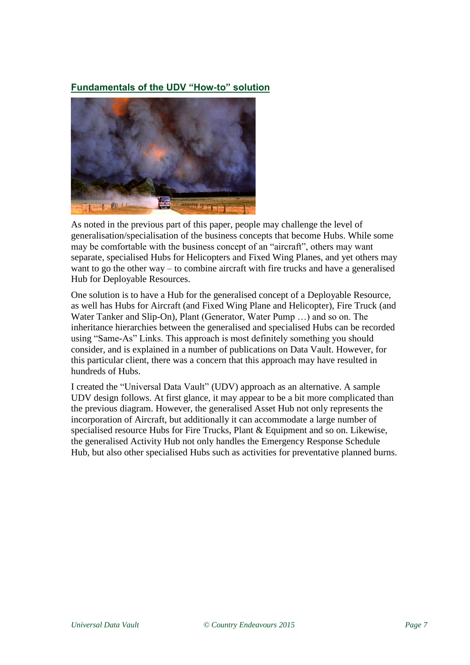# <span id="page-9-0"></span>**Fundamentals of the UDV "How-to" solution**



As noted in the previous part of this paper, people may challenge the level of generalisation/specialisation of the business concepts that become Hubs. While some may be comfortable with the business concept of an "aircraft", others may want separate, specialised Hubs for Helicopters and Fixed Wing Planes, and yet others may want to go the other way – to combine aircraft with fire trucks and have a generalised Hub for Deployable Resources.

One solution is to have a Hub for the generalised concept of a Deployable Resource, as well has Hubs for Aircraft (and Fixed Wing Plane and Helicopter), Fire Truck (and Water Tanker and Slip-On), Plant (Generator, Water Pump …) and so on. The inheritance hierarchies between the generalised and specialised Hubs can be recorded using "Same-As" Links. This approach is most definitely something you should consider, and is explained in a number of publications on Data Vault. However, for this particular client, there was a concern that this approach may have resulted in hundreds of Hubs.

I created the "Universal Data Vault" (UDV) approach as an alternative. A sample UDV design follows. At first glance, it may appear to be a bit more complicated than the previous diagram. However, the generalised Asset Hub not only represents the incorporation of Aircraft, but additionally it can accommodate a large number of specialised resource Hubs for Fire Trucks, Plant & Equipment and so on. Likewise, the generalised Activity Hub not only handles the Emergency Response Schedule Hub, but also other specialised Hubs such as activities for preventative planned burns.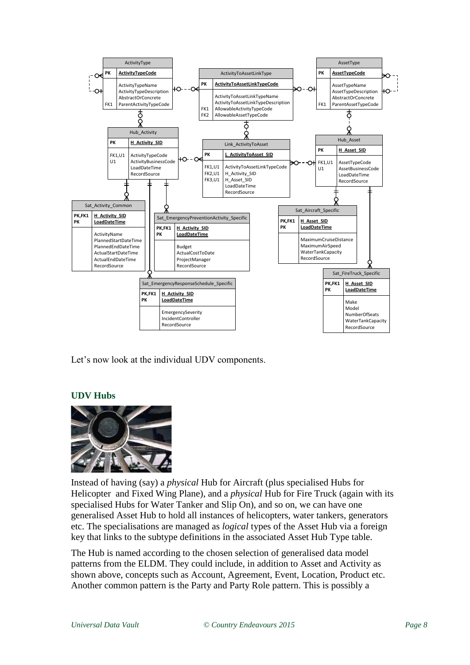

Let's now look at the individual UDV components.

## <span id="page-10-0"></span>**UDV Hubs**



Instead of having (say) a *physical* Hub for Aircraft (plus specialised Hubs for Helicopter and Fixed Wing Plane), and a *physical* Hub for Fire Truck (again with its specialised Hubs for Water Tanker and Slip On), and so on, we can have one generalised Asset Hub to hold all instances of helicopters, water tankers, generators etc. The specialisations are managed as *logical* types of the Asset Hub via a foreign key that links to the subtype definitions in the associated Asset Hub Type table.

The Hub is named according to the chosen selection of generalised data model patterns from the ELDM. They could include, in addition to Asset and Activity as shown above, concepts such as Account, Agreement, Event, Location, Product etc. Another common pattern is the Party and Party Role pattern. This is possibly a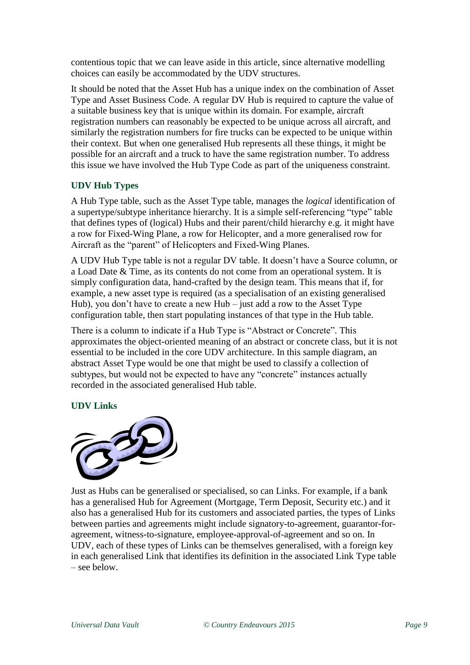contentious topic that we can leave aside in this article, since alternative modelling choices can easily be accommodated by the UDV structures.

It should be noted that the Asset Hub has a unique index on the combination of Asset Type and Asset Business Code. A regular DV Hub is required to capture the value of a suitable business key that is unique within its domain. For example, aircraft registration numbers can reasonably be expected to be unique across all aircraft, and similarly the registration numbers for fire trucks can be expected to be unique within their context. But when one generalised Hub represents all these things, it might be possible for an aircraft and a truck to have the same registration number. To address this issue we have involved the Hub Type Code as part of the uniqueness constraint.

## <span id="page-11-0"></span>**UDV Hub Types**

A Hub Type table, such as the Asset Type table, manages the *logical* identification of a supertype/subtype inheritance hierarchy. It is a simple self-referencing "type" table that defines types of (logical) Hubs and their parent/child hierarchy e.g. it might have a row for Fixed-Wing Plane, a row for Helicopter, and a more generalised row for Aircraft as the "parent" of Helicopters and Fixed-Wing Planes.

A UDV Hub Type table is not a regular DV table. It doesn't have a Source column, or a Load Date & Time, as its contents do not come from an operational system. It is simply configuration data, hand-crafted by the design team. This means that if, for example, a new asset type is required (as a specialisation of an existing generalised Hub), you don't have to create a new Hub – just add a row to the Asset Type configuration table, then start populating instances of that type in the Hub table.

There is a column to indicate if a Hub Type is "Abstract or Concrete". This approximates the object-oriented meaning of an abstract or concrete class, but it is not essential to be included in the core UDV architecture. In this sample diagram, an abstract Asset Type would be one that might be used to classify a collection of subtypes, but would not be expected to have any "concrete" instances actually recorded in the associated generalised Hub table.

#### <span id="page-11-1"></span>**UDV Links**



Just as Hubs can be generalised or specialised, so can Links. For example, if a bank has a generalised Hub for Agreement (Mortgage, Term Deposit, Security etc.) and it also has a generalised Hub for its customers and associated parties, the types of Links between parties and agreements might include signatory-to-agreement, guarantor-foragreement, witness-to-signature, employee-approval-of-agreement and so on. In UDV, each of these types of Links can be themselves generalised, with a foreign key in each generalised Link that identifies its definition in the associated Link Type table – see below.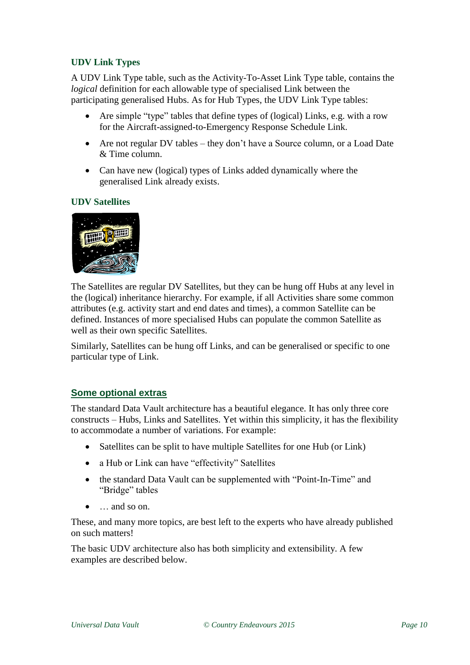# <span id="page-12-0"></span>**UDV Link Types**

A UDV Link Type table, such as the Activity-To-Asset Link Type table, contains the *logical* definition for each allowable type of specialised Link between the participating generalised Hubs. As for Hub Types, the UDV Link Type tables:

- Are simple "type" tables that define types of (logical) Links, e.g. with a row for the Aircraft-assigned-to-Emergency Response Schedule Link.
- Are not regular DV tables they don't have a Source column, or a Load Date & Time column.
- Can have new (logical) types of Links added dynamically where the generalised Link already exists.

#### <span id="page-12-1"></span>**UDV Satellites**



The Satellites are regular DV Satellites, but they can be hung off Hubs at any level in the (logical) inheritance hierarchy. For example, if all Activities share some common attributes (e.g. activity start and end dates and times), a common Satellite can be defined. Instances of more specialised Hubs can populate the common Satellite as well as their own specific Satellites.

Similarly, Satellites can be hung off Links, and can be generalised or specific to one particular type of Link.

## <span id="page-12-2"></span>**Some optional extras**

The standard Data Vault architecture has a beautiful elegance. It has only three core constructs – Hubs, Links and Satellites. Yet within this simplicity, it has the flexibility to accommodate a number of variations. For example:

- Satellites can be split to have multiple Satellites for one Hub (or Link)
- a Hub or Link can have "effectivity" Satellites
- the standard Data Vault can be supplemented with "Point-In-Time" and "Bridge" tables
- … and so on.

These, and many more topics, are best left to the experts who have already published on such matters!

The basic UDV architecture also has both simplicity and extensibility. A few examples are described below.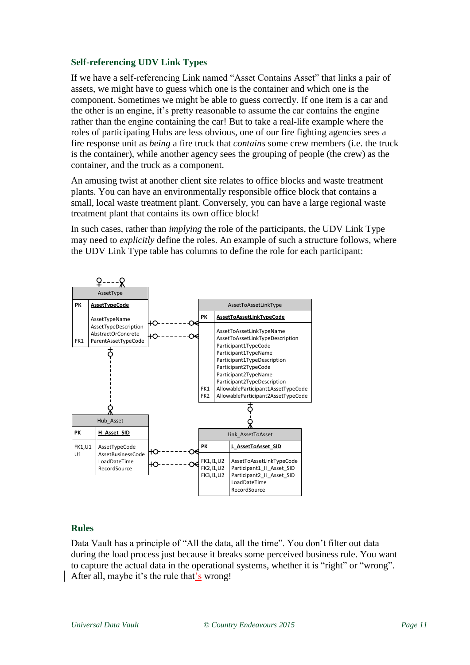#### <span id="page-13-0"></span>**Self-referencing UDV Link Types**

If we have a self-referencing Link named "Asset Contains Asset" that links a pair of assets, we might have to guess which one is the container and which one is the component. Sometimes we might be able to guess correctly. If one item is a car and the other is an engine, it's pretty reasonable to assume the car contains the engine rather than the engine containing the car! But to take a real-life example where the roles of participating Hubs are less obvious, one of our fire fighting agencies sees a fire response unit as *being* a fire truck that *contains* some crew members (i.e. the truck is the container), while another agency sees the grouping of people (the crew) as the container, and the truck as a component.

An amusing twist at another client site relates to office blocks and waste treatment plants. You can have an environmentally responsible office block that contains a small, local waste treatment plant. Conversely, you can have a large regional waste treatment plant that contains its own office block!

In such cases, rather than *implying* the role of the participants, the UDV Link Type may need to *explicitly* define the roles. An example of such a structure follows, where the UDV Link Type table has columns to define the role for each participant:



#### <span id="page-13-1"></span>**Rules**

Data Vault has a principle of "All the data, all the time". You don't filter out data during the load process just because it breaks some perceived business rule. You want to capture the actual data in the operational systems, whether it is "right" or "wrong". After all, maybe it's the rule that's wrong!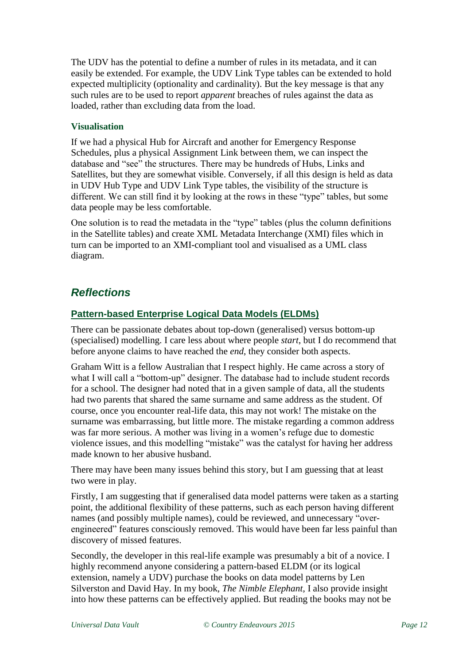The UDV has the potential to define a number of rules in its metadata, and it can easily be extended. For example, the UDV Link Type tables can be extended to hold expected multiplicity (optionality and cardinality). But the key message is that any such rules are to be used to report *apparent* breaches of rules against the data as loaded, rather than excluding data from the load.

## <span id="page-14-0"></span>**Visualisation**

If we had a physical Hub for Aircraft and another for Emergency Response Schedules, plus a physical Assignment Link between them, we can inspect the database and "see" the structures. There may be hundreds of Hubs, Links and Satellites, but they are somewhat visible. Conversely, if all this design is held as data in UDV Hub Type and UDV Link Type tables, the visibility of the structure is different. We can still find it by looking at the rows in these "type" tables, but some data people may be less comfortable.

One solution is to read the metadata in the "type" tables (plus the column definitions in the Satellite tables) and create XML Metadata Interchange (XMI) files which in turn can be imported to an XMI-compliant tool and visualised as a UML class diagram.

# <span id="page-14-1"></span>*Reflections*

# <span id="page-14-2"></span>**Pattern-based Enterprise Logical Data Models (ELDMs)**

There can be passionate debates about top-down (generalised) versus bottom-up (specialised) modelling. I care less about where people *start*, but I do recommend that before anyone claims to have reached the *end*, they consider both aspects.

Graham Witt is a fellow Australian that I respect highly. He came across a story of what I will call a "bottom-up" designer. The database had to include student records for a school. The designer had noted that in a given sample of data, all the students had two parents that shared the same surname and same address as the student. Of course, once you encounter real-life data, this may not work! The mistake on the surname was embarrassing, but little more. The mistake regarding a common address was far more serious. A mother was living in a women's refuge due to domestic violence issues, and this modelling "mistake" was the catalyst for having her address made known to her abusive husband.

There may have been many issues behind this story, but I am guessing that at least two were in play.

Firstly, I am suggesting that if generalised data model patterns were taken as a starting point, the additional flexibility of these patterns, such as each person having different names (and possibly multiple names), could be reviewed, and unnecessary "overengineered" features consciously removed. This would have been far less painful than discovery of missed features.

Secondly, the developer in this real-life example was presumably a bit of a novice. I highly recommend anyone considering a pattern-based ELDM (or its logical extension, namely a UDV) purchase the books on data model patterns by Len Silverston and David Hay. In my book, *The Nimble Elephant*, I also provide insight into how these patterns can be effectively applied. But reading the books may not be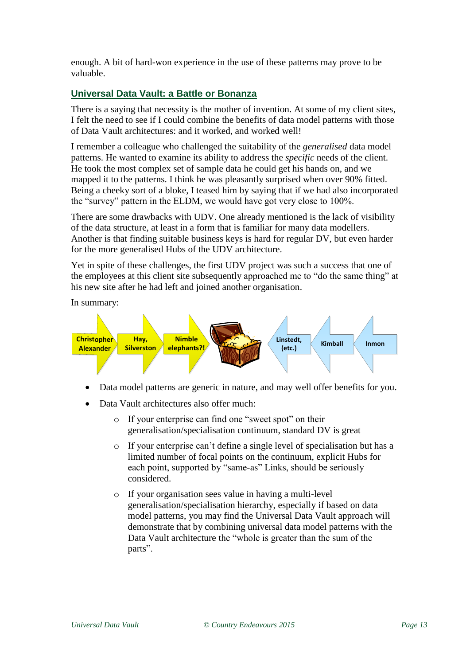enough. A bit of hard-won experience in the use of these patterns may prove to be valuable.

#### <span id="page-15-0"></span>**Universal Data Vault: a Battle or Bonanza**

There is a saying that necessity is the mother of invention. At some of my client sites, I felt the need to see if I could combine the benefits of data model patterns with those of Data Vault architectures: and it worked, and worked well!

I remember a colleague who challenged the suitability of the *generalised* data model patterns. He wanted to examine its ability to address the *specific* needs of the client. He took the most complex set of sample data he could get his hands on, and we mapped it to the patterns. I think he was pleasantly surprised when over 90% fitted. Being a cheeky sort of a bloke, I teased him by saying that if we had also incorporated the "survey" pattern in the ELDM, we would have got very close to 100%.

There are some drawbacks with UDV. One already mentioned is the lack of visibility of the data structure, at least in a form that is familiar for many data modellers. Another is that finding suitable business keys is hard for regular DV, but even harder for the more generalised Hubs of the UDV architecture.

Yet in spite of these challenges, the first UDV project was such a success that one of the employees at this client site subsequently approached me to "do the same thing" at his new site after he had left and joined another organisation.

In summary:



- Data model patterns are generic in nature, and may well offer benefits for you.
- Data Vault architectures also offer much:
	- o If your enterprise can find one "sweet spot" on their generalisation/specialisation continuum, standard DV is great
	- o If your enterprise can't define a single level of specialisation but has a limited number of focal points on the continuum, explicit Hubs for each point, supported by "same-as" Links, should be seriously considered.
	- o If your organisation sees value in having a multi-level generalisation/specialisation hierarchy, especially if based on data model patterns, you may find the Universal Data Vault approach will demonstrate that by combining universal data model patterns with the Data Vault architecture the "whole is greater than the sum of the parts".